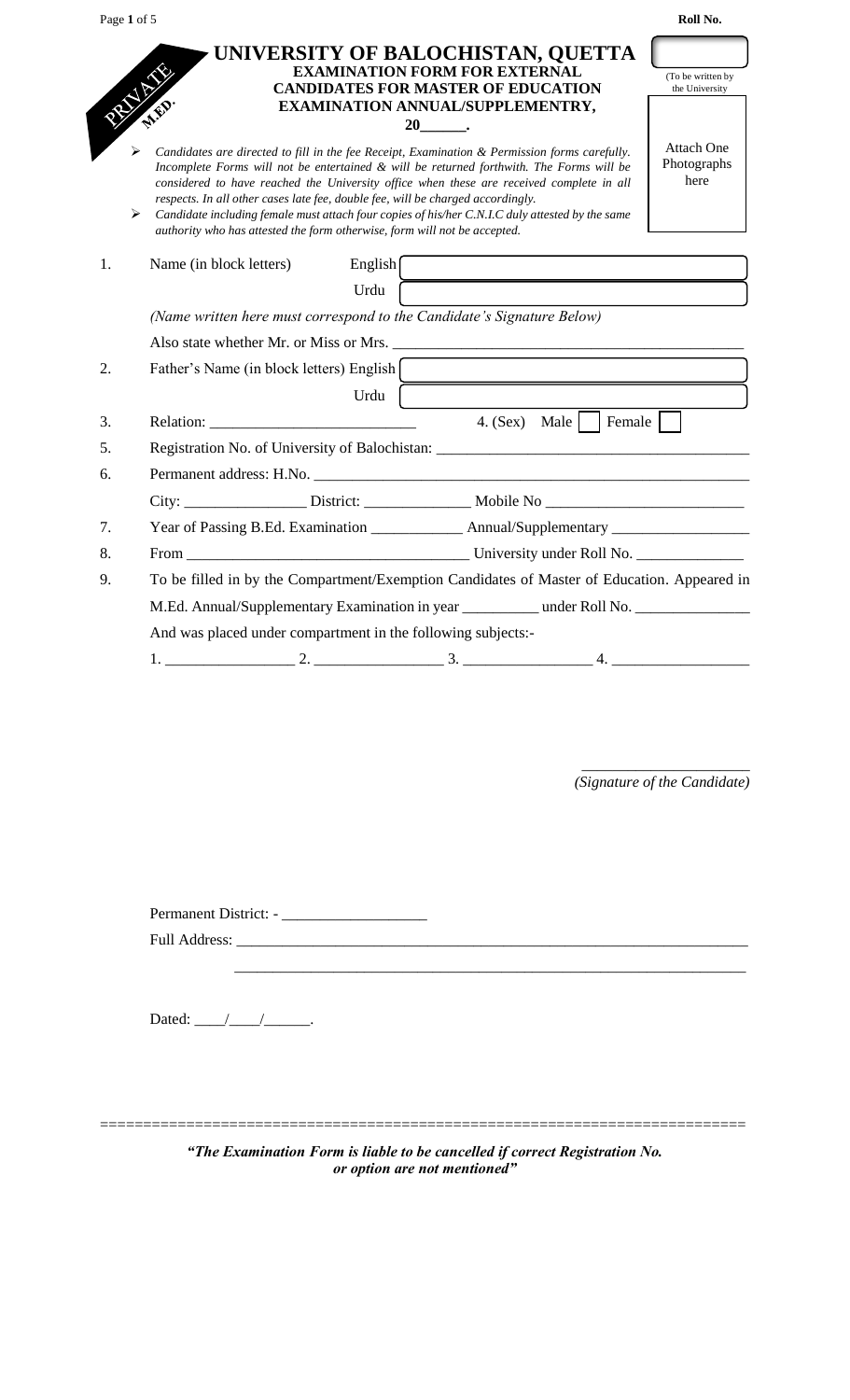| Page 1 of 5       |                                                                                                                                                                                                                                                                                                                                                                                                                                                                                                                                                          | Roll No.                                 |
|-------------------|----------------------------------------------------------------------------------------------------------------------------------------------------------------------------------------------------------------------------------------------------------------------------------------------------------------------------------------------------------------------------------------------------------------------------------------------------------------------------------------------------------------------------------------------------------|------------------------------------------|
| <b>CONTRACTOR</b> | UNIVERSITY OF BALOCHISTAN, QUETTA<br><b>EXAMINATION FORM FOR EXTERNAL</b><br><b>CANDIDATES FOR MASTER OF EDUCATION</b><br>EXAMINATION ANNUAL/SUPPLEMENTRY,<br>20 .                                                                                                                                                                                                                                                                                                                                                                                       | (To be written by<br>the University      |
| ⋗                 | Candidates are directed to fill in the fee Receipt, Examination & Permission forms carefully.<br>Incomplete Forms will not be entertained & will be returned forthwith. The Forms will be<br>considered to have reached the University office when these are received complete in all<br>respects. In all other cases late fee, double fee, will be charged accordingly.<br>Candidate including female must attach four copies of his/her C.N.I.C duly attested by the same<br>authority who has attested the form otherwise, form will not be accepted. | <b>Attach One</b><br>Photographs<br>here |
| 1.                | Name (in block letters)<br>English $\int$                                                                                                                                                                                                                                                                                                                                                                                                                                                                                                                |                                          |
|                   | Urdu                                                                                                                                                                                                                                                                                                                                                                                                                                                                                                                                                     |                                          |
|                   | (Name written here must correspond to the Candidate's Signature Below)                                                                                                                                                                                                                                                                                                                                                                                                                                                                                   |                                          |
|                   |                                                                                                                                                                                                                                                                                                                                                                                                                                                                                                                                                          |                                          |
| 2.                | Father's Name (in block letters) English                                                                                                                                                                                                                                                                                                                                                                                                                                                                                                                 |                                          |
|                   | <u> 1989 - Johann Barn, amerikansk politiker (d. 1989)</u><br>Urdu                                                                                                                                                                                                                                                                                                                                                                                                                                                                                       |                                          |
| 3.                | Relation:<br>4. (Sex) Male   Female                                                                                                                                                                                                                                                                                                                                                                                                                                                                                                                      |                                          |
| 5.                | Registration No. of University of Balochistan: _________________________________                                                                                                                                                                                                                                                                                                                                                                                                                                                                         |                                          |
| 6.                | Permanent address: H.No. <b>Example 2018</b> and 2018 and 2018 and 2018 and 2018 and 2018 and 2018 and 2018 and 2018 and 2018 and 2018 and 2018 and 2018 and 2018 and 2018 and 2018 and 2018 and 2018 and 2018 and 2018 and 2018 an                                                                                                                                                                                                                                                                                                                      |                                          |
|                   |                                                                                                                                                                                                                                                                                                                                                                                                                                                                                                                                                          |                                          |
| 7.                | Year of Passing B.Ed. Examination ______________ Annual/Supplementary ______________________________                                                                                                                                                                                                                                                                                                                                                                                                                                                     |                                          |
| 8.                |                                                                                                                                                                                                                                                                                                                                                                                                                                                                                                                                                          |                                          |
| 9.                | To be filled in by the Compartment/Exemption Candidates of Master of Education. Appeared in                                                                                                                                                                                                                                                                                                                                                                                                                                                              |                                          |
|                   | M.Ed. Annual/Supplementary Examination in year _________ under Roll No. ____________________________                                                                                                                                                                                                                                                                                                                                                                                                                                                     |                                          |
|                   | And was placed under compartment in the following subjects:-                                                                                                                                                                                                                                                                                                                                                                                                                                                                                             |                                          |
|                   |                                                                                                                                                                                                                                                                                                                                                                                                                                                                                                                                                          |                                          |

\_\_\_\_\_\_\_\_\_\_\_\_\_\_\_\_\_\_\_\_\_\_ *(Signature of the Candidate)*

Permanent District: - \_\_\_\_\_\_\_\_\_\_\_\_\_\_\_\_\_\_\_ Full Address: \_\_\_\_\_\_\_\_\_\_\_\_\_\_\_\_\_\_\_\_\_\_\_\_\_\_\_\_\_\_\_\_\_\_\_\_\_\_\_\_\_\_\_\_\_\_\_\_\_\_\_\_\_\_\_\_\_\_\_\_\_\_\_\_\_\_\_

\_\_\_\_\_\_\_\_\_\_\_\_\_\_\_\_\_\_\_\_\_\_\_\_\_\_\_\_\_\_\_\_\_\_\_\_\_\_\_\_\_\_\_\_\_\_\_\_\_\_\_\_\_\_\_\_\_\_\_\_\_\_\_\_\_\_\_

Dated:  $\frac{\sqrt{2\pi}}{2}$ 

*"The Examination Form is liable to be cancelled if correct Registration No. or option are not mentioned"*

===========================================================================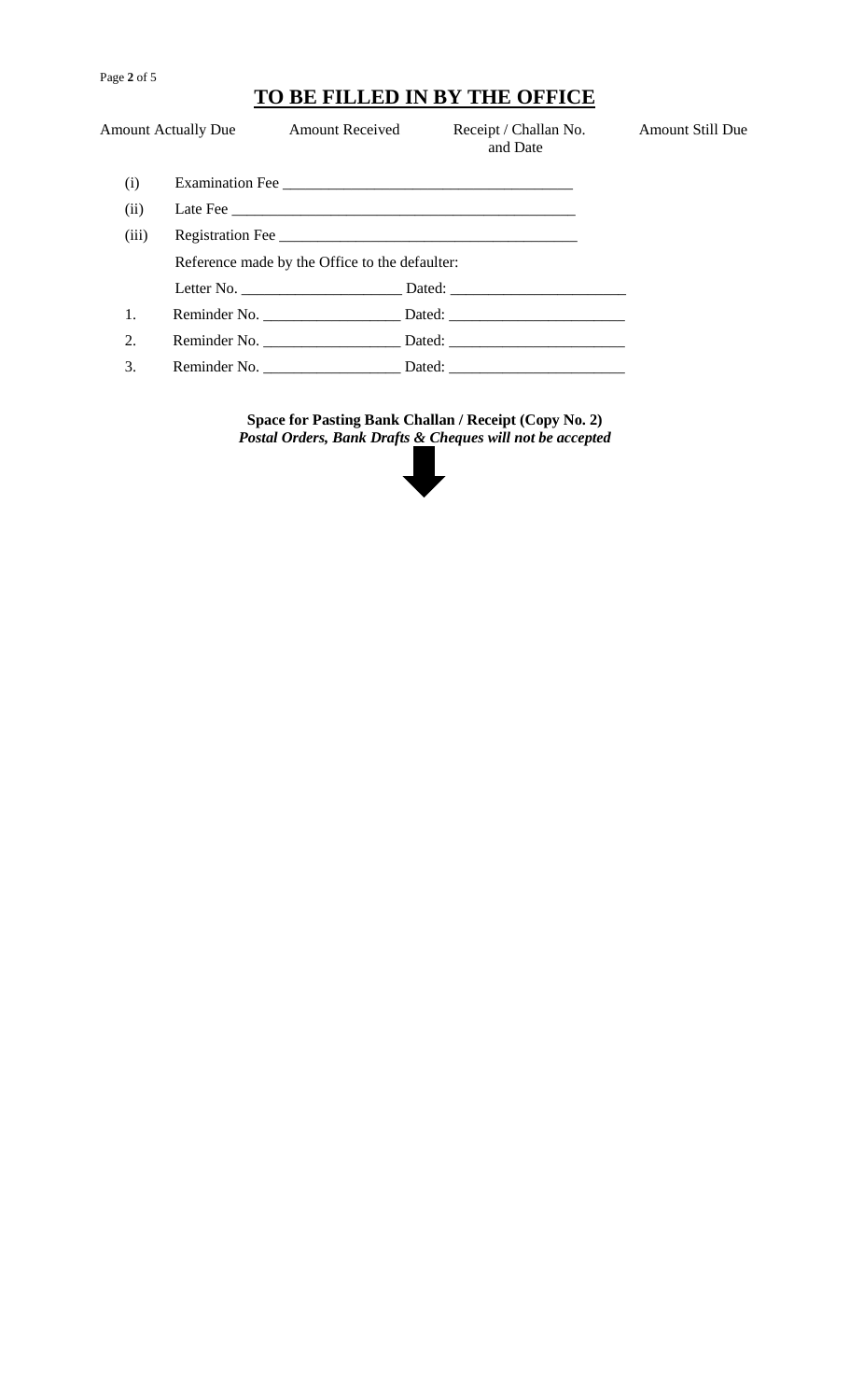#### Page **2** of 5

# **TO BE FILLED IN BY THE OFFICE**

|       | <b>Amount Actually Due</b> | <b>Amount Received</b>                         | Receipt / Challan No.<br>and Date | <b>Amount Still Due</b> |
|-------|----------------------------|------------------------------------------------|-----------------------------------|-------------------------|
| (i)   |                            | Examination Fee                                |                                   |                         |
| (ii)  |                            |                                                | Late Fee                          |                         |
| (iii) |                            |                                                | Registration Fee                  |                         |
|       |                            | Reference made by the Office to the defaulter: |                                   |                         |
|       |                            |                                                |                                   |                         |
| 1.    |                            |                                                |                                   |                         |
| 2.    |                            |                                                |                                   |                         |
| 3.    |                            | Reminder No.                                   |                                   |                         |

**Space for Pasting Bank Challan / Receipt (Copy No. 2)** *Postal Orders, Bank Drafts & Cheques will not be accepted*

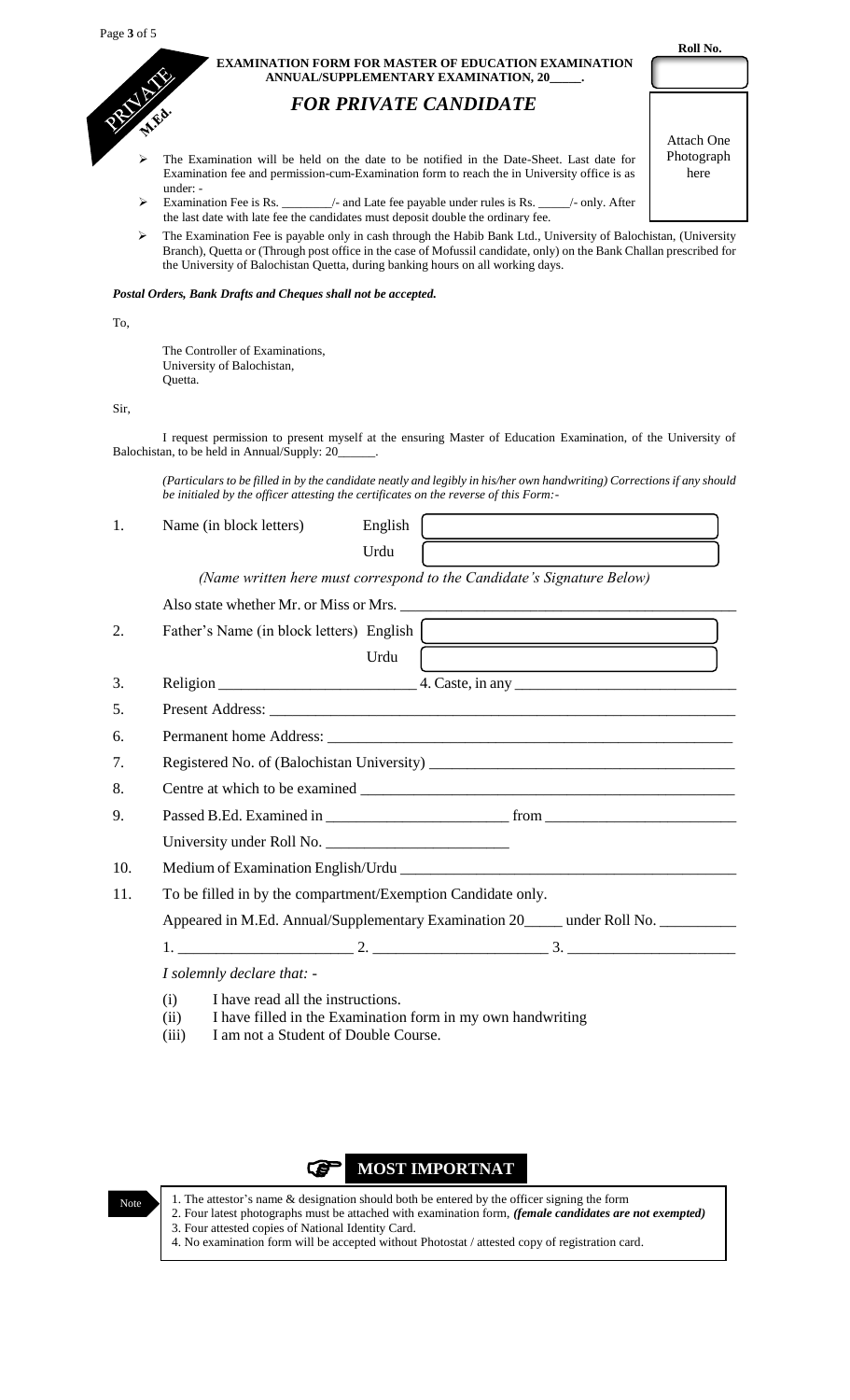| <b>EXAMINATION FORM FOR MASTER OF EDUCATION EXAMINATION</b> |
|-------------------------------------------------------------|
| ANNUAL/SUPPLEMENTARY EXAMINATION, 20                        |

## *FOR PRIVATE CANDIDATE*

- The Examination will be held on the date to be notified in the Date-Sheet. Last date for Examination fee and permission-cum-Examination form to reach the in University office is as under: -
- Examination Fee is Rs. \_\_\_\_\_\_\_\_/- and Late fee payable under rules is Rs. \_\_\_\_\_/- only. After the last date with late fee the candidates must deposit double the ordinary fee.
- The Examination Fee is payable only in cash through the Habib Bank Ltd., University of Balochistan, (University Branch), Quetta or (Through post office in the case of Mofussil candidate, only) on the Bank Challan prescribed for the University of Balochistan Quetta, during banking hours on all working days.

### *Postal Orders, Bank Drafts and Cheques shall not be accepted.*

#### To,

The Controller of Examinations, University of Balochistan, Quetta.

Sir,

I request permission to present myself at the ensuring Master of Education Examination, of the University of Balochistan, to be held in Annual/Supply: 20\_\_\_\_\_\_.

*(Particulars to be filled in by the candidate neatly and legibly in his/her own handwriting) Corrections if any should be initialed by the officer attesting the certificates on the reverse of this Form:-*

| 1.  | Name (in block letters)                                                                           | English |                                                                                           |
|-----|---------------------------------------------------------------------------------------------------|---------|-------------------------------------------------------------------------------------------|
|     |                                                                                                   | Urdu    |                                                                                           |
|     |                                                                                                   |         | (Name written here must correspond to the Candidate's Signature Below)                    |
|     |                                                                                                   |         |                                                                                           |
| 2.  | Father's Name (in block letters) English                                                          |         |                                                                                           |
|     |                                                                                                   | Urdu    | the control of the control of the control of the control of the control of the control of |
| 3.  |                                                                                                   |         |                                                                                           |
| 5.  |                                                                                                   |         |                                                                                           |
| 6.  |                                                                                                   |         |                                                                                           |
| 7.  |                                                                                                   |         |                                                                                           |
| 8.  |                                                                                                   |         |                                                                                           |
| 9.  |                                                                                                   |         |                                                                                           |
|     |                                                                                                   |         |                                                                                           |
| 10. |                                                                                                   |         |                                                                                           |
| 11. | To be filled in by the compartment/Exemption Candidate only.                                      |         |                                                                                           |
|     |                                                                                                   |         | Appeared in M.Ed. Annual/Supplementary Examination 20_____ under Roll No. ___________     |
|     |                                                                                                   |         |                                                                                           |
|     | I solemnly declare that: -                                                                        |         |                                                                                           |
|     | (i)<br>I have read all the instructions.<br>(ii)<br>I am not a Student of Double Course.<br>(iii) |         | I have filled in the Examination form in my own handwriting                               |

#### œ **MOST IMPORTNAT**



1. The attestor's name & designation should both be entered by the officer signing the form 2. Four latest photographs must be attached with examination form, *(female candidates are not exempted)* 3. Four attested copies of National Identity Card. 4. No examination form will be accepted without Photostat / attested copy of registration card.

 **Roll No.**

| Attach One |
|------------|
| Photograph |
| here       |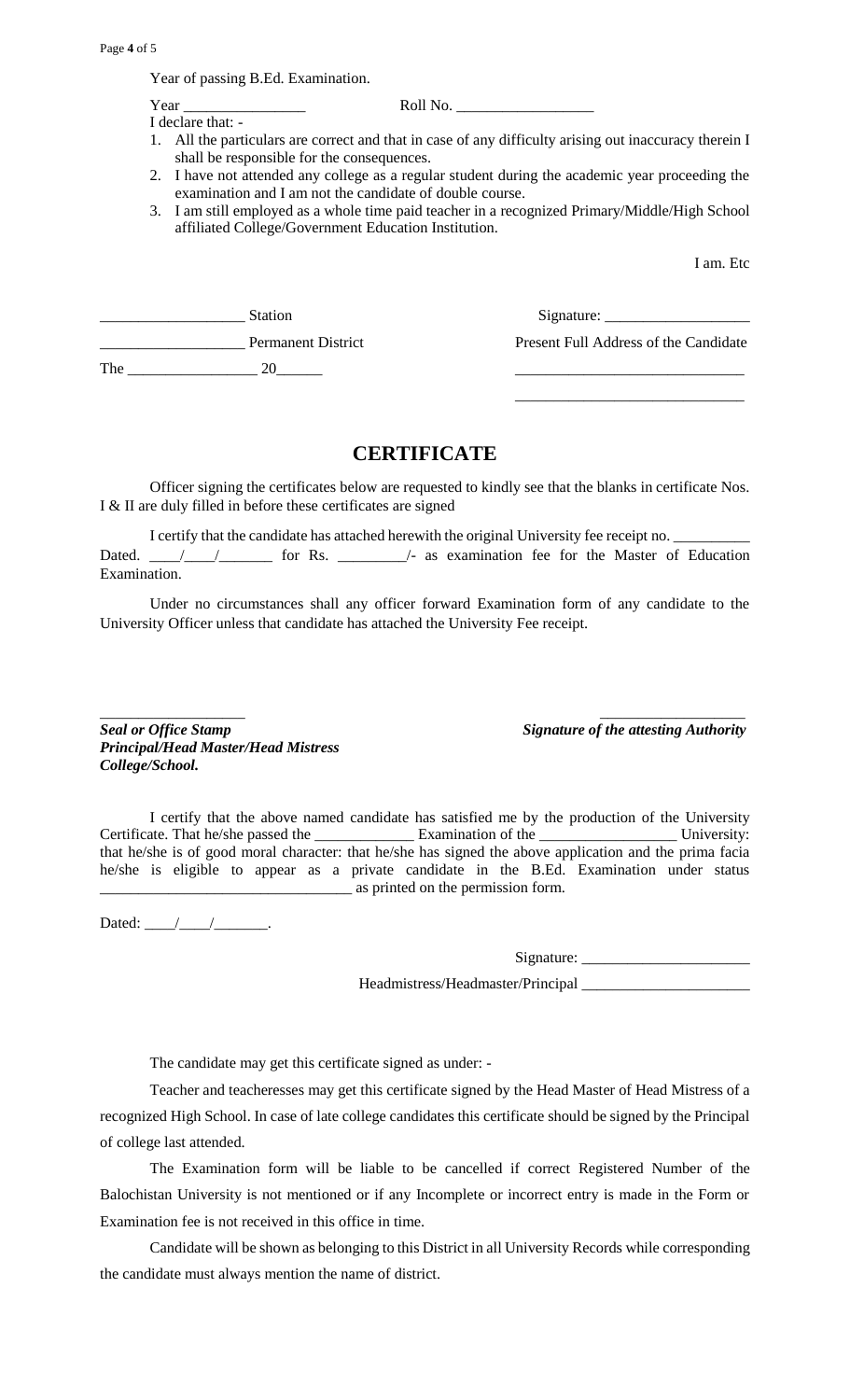Year of passing B.Ed. Examination.

I declare that: -

Year \_\_\_\_\_\_\_\_\_\_\_\_\_\_\_\_ Roll No. \_\_\_\_\_\_\_\_\_\_\_\_\_\_\_\_\_\_

- 1. All the particulars are correct and that in case of any difficulty arising out inaccuracy therein I shall be responsible for the consequences.
- 2. I have not attended any college as a regular student during the academic year proceeding the examination and I am not the candidate of double course.
- 3. I am still employed as a whole time paid teacher in a recognized Primary/Middle/High School affiliated College/Government Education Institution.

I am. Etc

|     | <b>Station</b>            |                                       |
|-----|---------------------------|---------------------------------------|
|     | <b>Permanent District</b> | Present Full Address of the Candidate |
| The | 20                        |                                       |
|     |                           |                                       |

### **CERTIFICATE**

Officer signing the certificates below are requested to kindly see that the blanks in certificate Nos. I & II are duly filled in before these certificates are signed

I certify that the candidate has attached herewith the original University fee receipt no. Dated. \_\_\_\_\_/\_\_\_\_\_\_\_\_\_\_ for Rs. \_\_\_\_\_\_\_\_\_\_\_\_\_\_/- as examination fee for the Master of Education Examination.

Under no circumstances shall any officer forward Examination form of any candidate to the University Officer unless that candidate has attached the University Fee receipt.

*\_\_\_\_\_\_\_\_\_\_\_\_\_\_\_\_\_\_\_ \_\_\_\_\_\_\_\_\_\_\_\_\_\_\_\_\_\_\_* **Seal or Office Stamp** Signature of the attesting Authority *Principal/Head Master/Head Mistress College/School.*

I certify that the above named candidate has satisfied me by the production of the University Certificate. That he/she passed the \_\_\_\_\_\_\_\_\_\_\_\_\_\_\_\_ Examination of the \_\_\_\_\_\_\_\_\_\_\_\_\_\_\_\_\_\_\_\_\_\_\_\_ University: that he/she is of good moral character: that he/she has signed the above application and the prima facia he/she is eligible to appear as a private candidate in the B.Ed. Examination under status \_\_\_\_\_\_\_\_\_\_\_\_\_\_\_\_\_\_\_\_\_\_\_\_\_\_\_\_\_\_\_\_\_ as printed on the permission form.

Dated:  $\frac{\sqrt{2\pi}}{2}$ 

Signature:

Headmistress/Headmaster/Principal

The candidate may get this certificate signed as under: -

Teacher and teacheresses may get this certificate signed by the Head Master of Head Mistress of a recognized High School. In case of late college candidates this certificate should be signed by the Principal of college last attended.

The Examination form will be liable to be cancelled if correct Registered Number of the Balochistan University is not mentioned or if any Incomplete or incorrect entry is made in the Form or Examination fee is not received in this office in time.

Candidate will be shown as belonging to this District in all University Records while corresponding the candidate must always mention the name of district.